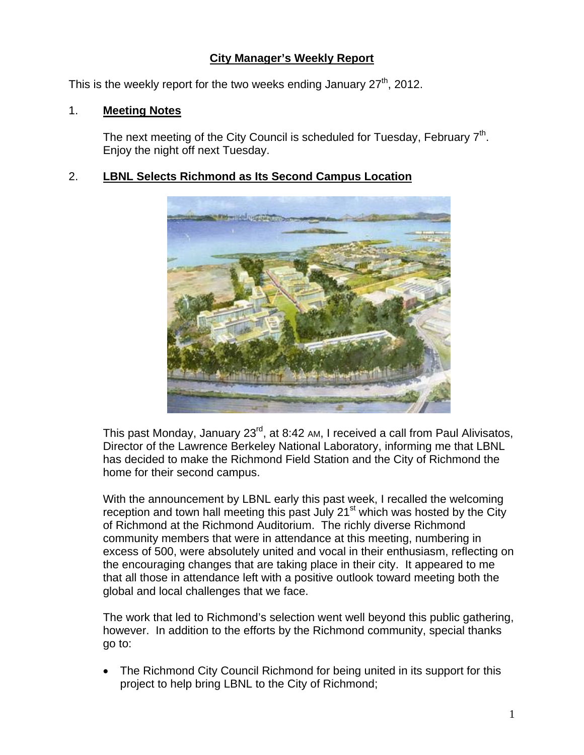# **City Manager's Weekly Report**

This is the weekly report for the two weeks ending January  $27<sup>th</sup>$ , 2012.

## 1. **Meeting Notes**

The next meeting of the City Council is scheduled for Tuesday, February  $7<sup>th</sup>$ . Enjoy the night off next Tuesday.

# 2. **LBNL Selects Richmond as Its Second Campus Location**



This past Monday, January 23<sup>rd</sup>, at 8:42 AM, I received a call from Paul Alivisatos, Director of the Lawrence Berkeley National Laboratory, informing me that LBNL has decided to make the Richmond Field Station and the City of Richmond the home for their second campus.

With the announcement by LBNL early this past week, I recalled the welcoming reception and town hall meeting this past July  $21<sup>st</sup>$  which was hosted by the City of Richmond at the Richmond Auditorium. The richly diverse Richmond community members that were in attendance at this meeting, numbering in excess of 500, were absolutely united and vocal in their enthusiasm, reflecting on the encouraging changes that are taking place in their city. It appeared to me that all those in attendance left with a positive outlook toward meeting both the global and local challenges that we face.

The work that led to Richmond's selection went well beyond this public gathering, however. In addition to the efforts by the Richmond community, special thanks go to:

 The Richmond City Council Richmond for being united in its support for this project to help bring LBNL to the City of Richmond;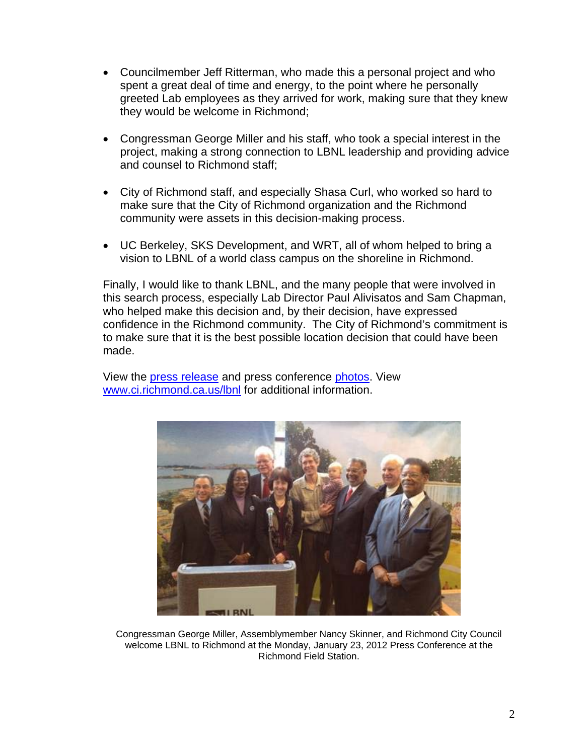- Councilmember Jeff Ritterman, who made this a personal project and who spent a great deal of time and energy, to the point where he personally greeted Lab employees as they arrived for work, making sure that they knew they would be welcome in Richmond;
- Congressman George Miller and his staff, who took a special interest in the project, making a strong connection to LBNL leadership and providing advice and counsel to Richmond staff;
- City of Richmond staff, and especially Shasa Curl, who worked so hard to make sure that the City of Richmond organization and the Richmond community were assets in this decision-making process.
- UC Berkeley, SKS Development, and WRT, all of whom helped to bring a vision to LBNL of a world class campus on the shoreline in Richmond.

Finally, I would like to thank LBNL, and the many people that were involved in this search process, especially Lab Director Paul Alivisatos and Sam Chapman, who helped make this decision and, by their decision, have expressed confidence in the Richmond community. The City of Richmond's commitment is to make sure that it is the best possible location decision that could have been made.

View the [press release](http://www.ci.richmond.ca.us/DocumentView.aspx?DID=8154) and press conference [photos](http://www.flickr.com/photos/richmondenvironment/sets/72157629005739369/). View [www.ci.richmond.ca.us/lbnl](http://www.ci.richmond.ca.us/lbnl) for additional information.



Congressman George Miller, Assemblymember Nancy Skinner, and Richmond City Council welcome LBNL to Richmond at the Monday, January 23, 2012 Press Conference at the Richmond Field Station.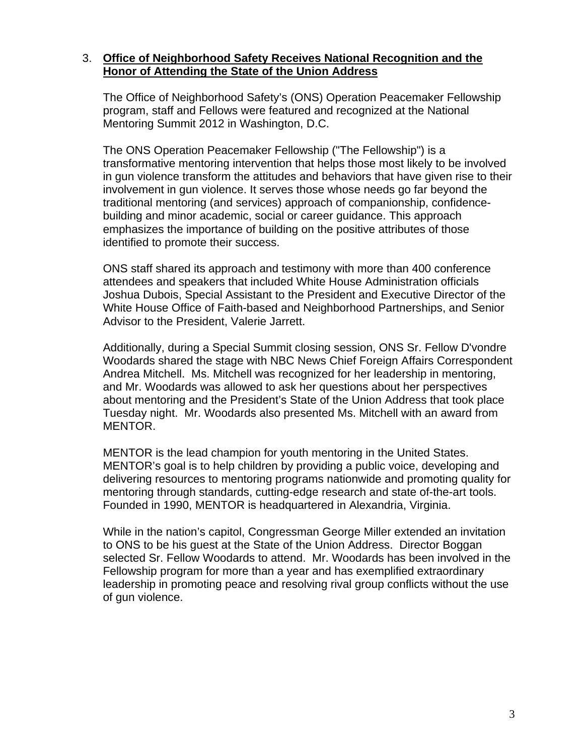#### 3. **Office of Neighborhood Safety Receives National Recognition and the Honor of Attending the State of the Union Address**

The Office of Neighborhood Safety's (ONS) Operation Peacemaker Fellowship program, staff and Fellows were featured and recognized at the National Mentoring Summit 2012 in Washington, D.C.

The ONS Operation Peacemaker Fellowship ("The Fellowship") is a transformative mentoring intervention that helps those most likely to be involved in gun violence transform the attitudes and behaviors that have given rise to their involvement in gun violence. It serves those whose needs go far beyond the traditional mentoring (and services) approach of companionship, confidencebuilding and minor academic, social or career guidance. This approach emphasizes the importance of building on the positive attributes of those identified to promote their success.

ONS staff shared its approach and testimony with more than 400 conference attendees and speakers that included White House Administration officials Joshua Dubois, Special Assistant to the President and Executive Director of the White House Office of Faith-based and Neighborhood Partnerships, and Senior Advisor to the President, Valerie Jarrett.

Additionally, during a Special Summit closing session, ONS Sr. Fellow D'vondre Woodards shared the stage with NBC News Chief Foreign Affairs Correspondent Andrea Mitchell. Ms. Mitchell was recognized for her leadership in mentoring, and Mr. Woodards was allowed to ask her questions about her perspectives about mentoring and the President's State of the Union Address that took place Tuesday night. Mr. Woodards also presented Ms. Mitchell with an award from MENTOR.

MENTOR is the lead champion for youth mentoring in the United States. MENTOR's goal is to help children by providing a public voice, developing and delivering resources to mentoring programs nationwide and promoting quality for mentoring through standards, cutting-edge research and state of-the-art tools. Founded in 1990, MENTOR is headquartered in Alexandria, Virginia.

While in the nation's capitol, Congressman George Miller extended an invitation to ONS to be his guest at the State of the Union Address. Director Boggan selected Sr. Fellow Woodards to attend. Mr. Woodards has been involved in the Fellowship program for more than a year and has exemplified extraordinary leadership in promoting peace and resolving rival group conflicts without the use of gun violence.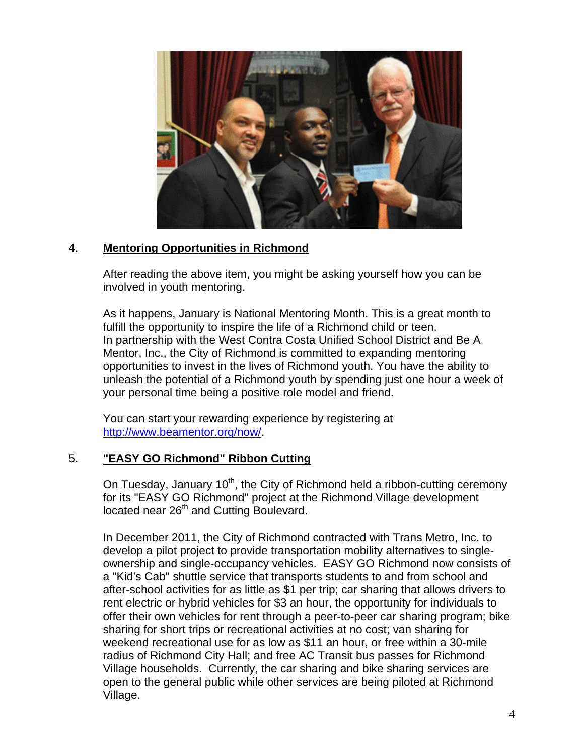

# 4. **Mentoring Opportunities in Richmond**

After reading the above item, you might be asking yourself how you can be involved in youth mentoring.

As it happens, January is National Mentoring Month. This is a great month to fulfill the opportunity to inspire the life of a Richmond child or teen. In partnership with the West Contra Costa Unified School District and Be A Mentor, Inc., the City of Richmond is committed to expanding mentoring opportunities to invest in the lives of Richmond youth. You have the ability to unleash the potential of a Richmond youth by spending just one hour a week of your personal time being a positive role model and friend.

You can start your rewarding experience by registering at <http://www.beamentor.org/now/>.

## 5. **"EASY GO Richmond" Ribbon Cutting**

On Tuesday, January 10<sup>th</sup>, the City of Richmond held a ribbon-cutting ceremony for its "EASY GO Richmond" project at the Richmond Village development located near 26<sup>th</sup> and Cutting Boulevard.

In December 2011, the City of Richmond contracted with Trans Metro, Inc. to develop a pilot project to provide transportation mobility alternatives to singleownership and single-occupancy vehicles. EASY GO Richmond now consists of a "Kid's Cab" shuttle service that transports students to and from school and after-school activities for as little as \$1 per trip; car sharing that allows drivers to rent electric or hybrid vehicles for \$3 an hour, the opportunity for individuals to offer their own vehicles for rent through a peer-to-peer car sharing program; bike sharing for short trips or recreational activities at no cost; van sharing for weekend recreational use for as low as \$11 an hour, or free within a 30-mile radius of Richmond City Hall; and free AC Transit bus passes for Richmond Village households. Currently, the car sharing and bike sharing services are open to the general public while other services are being piloted at Richmond Village.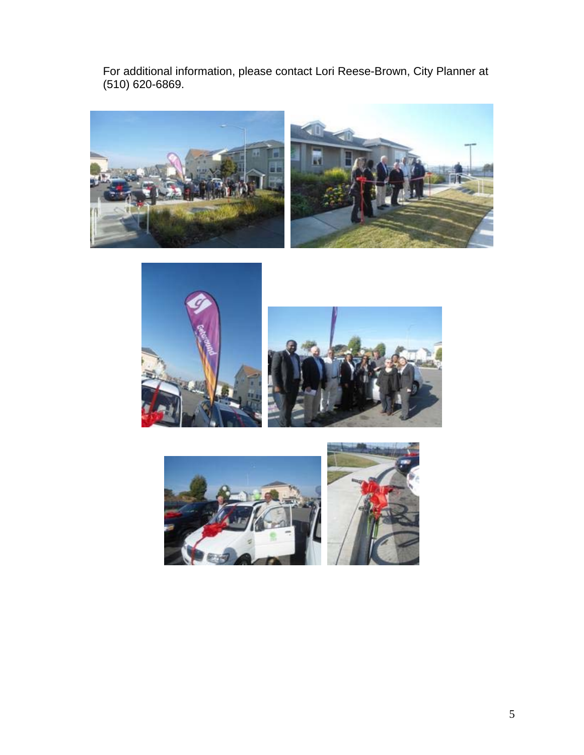For additional information, please contact Lori Reese-Brown, City Planner at (510) 620-6869.





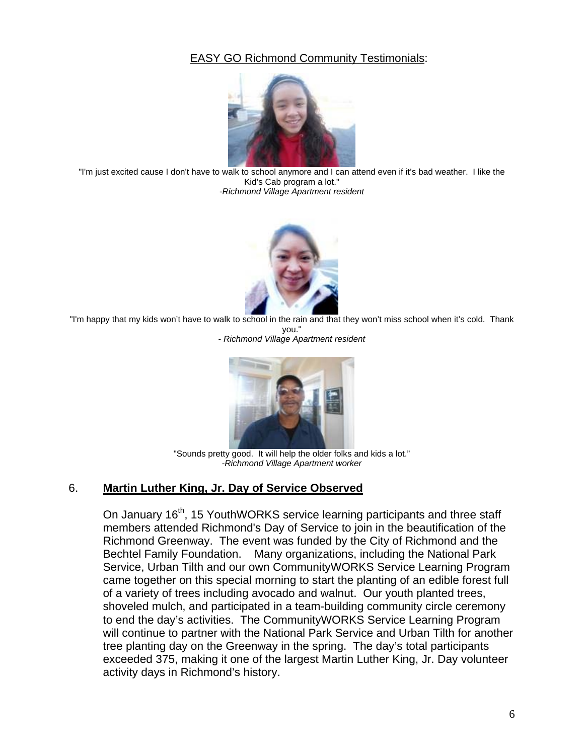# EASY GO Richmond Community Testimonials:



"I'm just excited cause I don't have to walk to school anymore and I can attend even if it's bad weather. I like the Kid's Cab program a lot." -*Richmond Village Apartment resident* 



"I'm happy that my kids won't have to walk to school in the rain and that they won't miss school when it's cold. Thank you."

- *Richmond Village Apartment resident*



"Sounds pretty good. It will help the older folks and kids a lot." *-Richmond Village Apartment worker*

#### 6. **Martin Luther King, Jr. Day of Service Observed**

On January 16<sup>th</sup>, 15 YouthWORKS service learning participants and three staff members attended Richmond's Day of Service to join in the beautification of the Richmond Greenway. The event was funded by the City of Richmond and the Bechtel Family Foundation. Many organizations, including the National Park Service, Urban Tilth and our own CommunityWORKS Service Learning Program came together on this special morning to start the planting of an edible forest full of a variety of trees including avocado and walnut. Our youth planted trees, shoveled mulch, and participated in a team-building community circle ceremony to end the day's activities. The CommunityWORKS Service Learning Program will continue to partner with the National Park Service and Urban Tilth for another tree planting day on the Greenway in the spring. The day's total participants exceeded 375, making it one of the largest Martin Luther King, Jr. Day volunteer activity days in Richmond's history.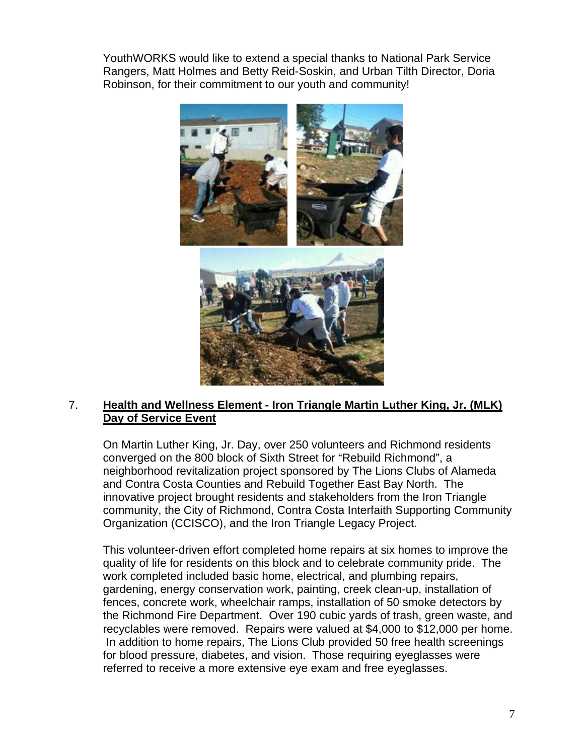YouthWORKS would like to extend a special thanks to National Park Service Rangers, Matt Holmes and Betty Reid-Soskin, and Urban Tilth Director, Doria Robinson, for their commitment to our youth and community!



## 7. **Health and Wellness Element - Iron Triangle Martin Luther King, Jr. (MLK) Day of Service Event**

On Martin Luther King, Jr. Day, over 250 volunteers and Richmond residents converged on the 800 block of Sixth Street for "Rebuild Richmond", a neighborhood revitalization project sponsored by The Lions Clubs of Alameda and Contra Costa Counties and Rebuild Together East Bay North. The innovative project brought residents and stakeholders from the Iron Triangle community, the City of Richmond, Contra Costa Interfaith Supporting Community Organization (CCISCO), and the Iron Triangle Legacy Project.

This volunteer-driven effort completed home repairs at six homes to improve the quality of life for residents on this block and to celebrate community pride. The work completed included basic home, electrical, and plumbing repairs, gardening, energy conservation work, painting, creek clean-up, installation of fences, concrete work, wheelchair ramps, installation of 50 smoke detectors by the Richmond Fire Department. Over 190 cubic yards of trash, green waste, and recyclables were removed. Repairs were valued at \$4,000 to \$12,000 per home. In addition to home repairs, The Lions Club provided 50 free health screenings for blood pressure, diabetes, and vision. Those requiring eyeglasses were referred to receive a more extensive eye exam and free eyeglasses.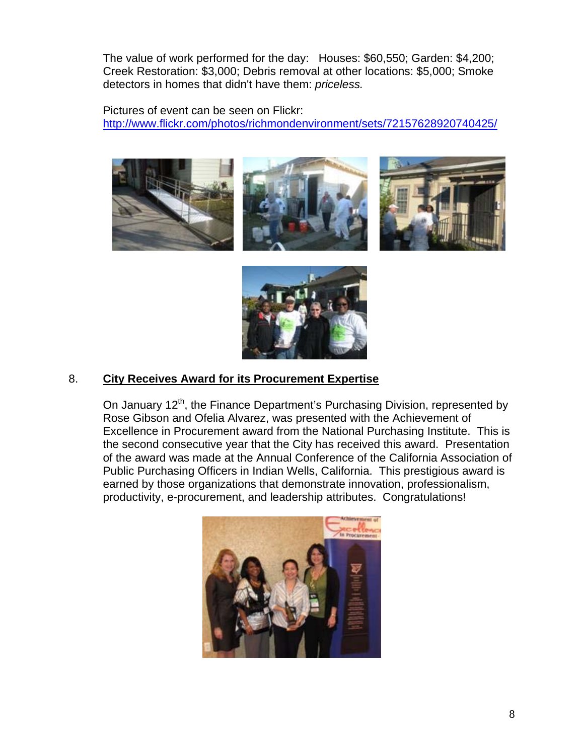The value of work performed for the day: Houses: \$60,550; Garden: \$4,200; Creek Restoration: \$3,000; Debris removal at other locations: \$5,000; Smoke detectors in homes that didn't have them: *priceless.*

Pictures of event can be seen on Flickr: <http://www.flickr.com/photos/richmondenvironment/sets/72157628920740425/>









## 8. **City Receives Award for its Procurement Expertise**

On January 12<sup>th</sup>, the Finance Department's Purchasing Division, represented by Rose Gibson and Ofelia Alvarez, was presented with the Achievement of Excellence in Procurement award from the National Purchasing Institute. This is the second consecutive year that the City has received this award. Presentation of the award was made at the Annual Conference of the California Association of Public Purchasing Officers in Indian Wells, California. This prestigious award is earned by those organizations that demonstrate innovation, professionalism, productivity, e-procurement, and leadership attributes. Congratulations!

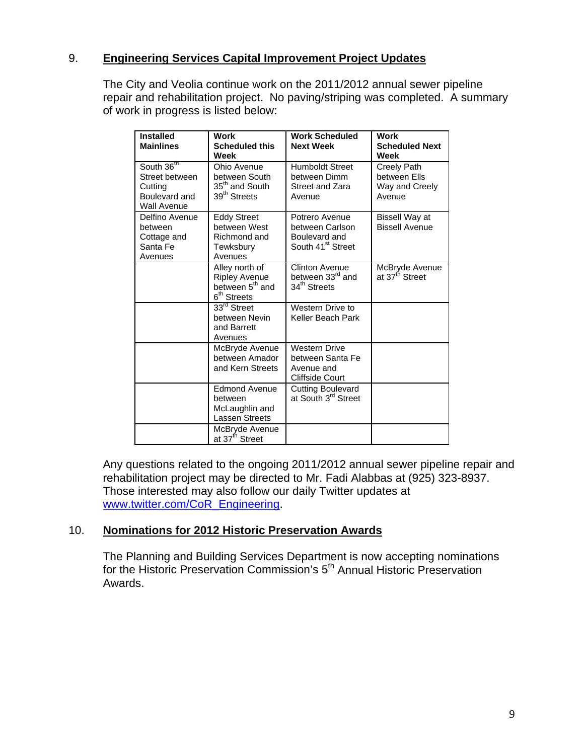## 9. **Engineering Services Capital Improvement Project Updates**

The City and Veolia continue work on the 2011/2012 annual sewer pipeline repair and rehabilitation project. No paving/striping was completed. A summary of work in progress is listed below:

| <b>Installed</b><br><b>Mainlines</b>                                           | <b>Work</b><br><b>Scheduled this</b><br>Week                                                     | <b>Work Scheduled</b><br><b>Next Week</b>                                           | <b>Work</b><br><b>Scheduled Next</b><br>Week            |
|--------------------------------------------------------------------------------|--------------------------------------------------------------------------------------------------|-------------------------------------------------------------------------------------|---------------------------------------------------------|
| South 36th<br>Street between<br>Cutting<br>Boulevard and<br><b>Wall Avenue</b> | Ohio Avenue<br>between South<br>35 <sup>th</sup> and South<br>39 <sup>th</sup> Streets           | <b>Humboldt Street</b><br>between Dimm<br>Street and Zara<br>Avenue                 | Creely Path<br>between Ells<br>Way and Creely<br>Avenue |
| Delfino Avenue<br>between<br>Cottage and<br>Santa Fe<br>Avenues                | <b>Eddy Street</b><br>between West<br>Richmond and<br>Tewksbury<br>Avenues                       | Potrero Avenue<br>between Carlson<br>Boulevard and<br>South 41 <sup>st</sup> Street | Bissell Way at<br><b>Bissell Avenue</b>                 |
|                                                                                | Alley north of<br><b>Ripley Avenue</b><br>between 5 <sup>th</sup> and<br>6 <sup>th</sup> Streets | Clinton Avenue<br>between 33 <sup>rd</sup> and<br>34 <sup>th</sup> Streets          | McBryde Avenue<br>at 37 <sup>th</sup> Street            |
|                                                                                | $33rd$ Street<br>between Nevin<br>and Barrett<br>Avenues                                         | Western Drive to<br>Keller Beach Park                                               |                                                         |
|                                                                                | McBryde Avenue<br>between Amador<br>and Kern Streets                                             | <b>Western Drive</b><br>between Santa Fe<br>Avenue and<br>Cliffside Court           |                                                         |
|                                                                                | <b>Edmond Avenue</b><br>between<br>McLaughlin and<br><b>Lassen Streets</b>                       | <b>Cutting Boulevard</b><br>at South 3 <sup>rd</sup> Street                         |                                                         |
|                                                                                | McBryde Avenue<br>at 37 <sup>th</sup> Street                                                     |                                                                                     |                                                         |

Any questions related to the ongoing 2011/2012 annual sewer pipeline repair and rehabilitation project may be directed to Mr. Fadi Alabbas at (925) 323-8937. Those interested may also follow our daily Twitter updates at [www.twitter.com/CoR\\_Engineering](http://www.twitter.com/CoR_Engineering).

#### 10. **Nominations for 2012 Historic Preservation Awards**

The Planning and Building Services Department is now accepting nominations for the Historic Preservation Commission's 5<sup>th</sup> Annual Historic Preservation Awards.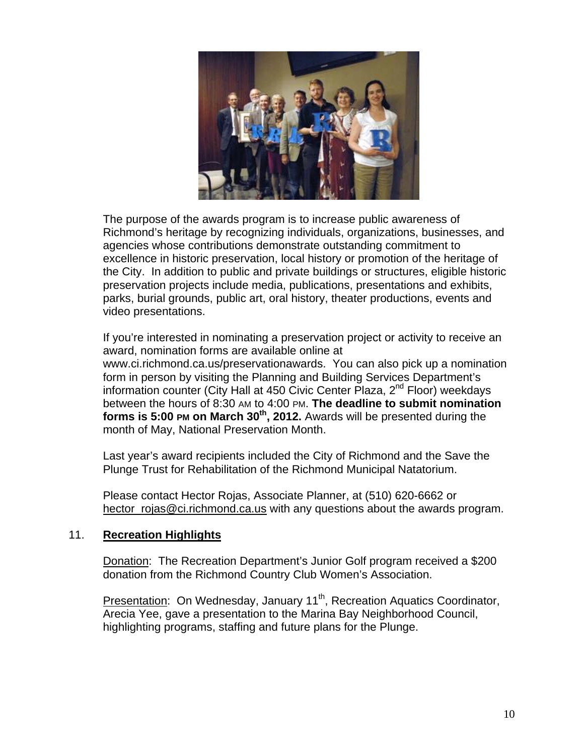

The purpose of the awards program is to increase public awareness of Richmond's heritage by recognizing individuals, organizations, businesses, and agencies whose contributions demonstrate outstanding commitment to excellence in historic preservation, local history or promotion of the heritage of the City. In addition to public and private buildings or structures, eligible historic preservation projects include media, publications, presentations and exhibits, parks, burial grounds, public art, oral history, theater productions, events and video presentations.

If you're interested in nominating a preservation project or activity to receive an award, nomination forms are available online at [www.ci.richmond.ca.us/preservationawards.](http://www.ci.richmond.ca.us/preservationawards) You can also pick up a nomination form in person by visiting the Planning and Building Services Department's information counter (City Hall at 450 Civic Center Plaza, 2<sup>nd</sup> Floor) weekdays between the hours of 8:30 AM to 4:00 PM. **The deadline to submit nomination forms is 5:00 PM on March 30<sup>th</sup>, 2012.** Awards will be presented during the month of May, National Preservation Month.

Last year's award recipients included the City of Richmond and the Save the Plunge Trust for Rehabilitation of the Richmond Municipal Natatorium.

Please contact Hector Rojas, Associate Planner, at (510) 620-6662 or hector rojas@ci.richmond.ca.us with any questions about the awards program.

#### 11. **Recreation Highlights**

Donation: The Recreation Department's Junior Golf program received a \$200 donation from the Richmond Country Club Women's Association.

Presentation: On Wednesday, January 11<sup>th</sup>, Recreation Aquatics Coordinator, Arecia Yee, gave a presentation to the Marina Bay Neighborhood Council, highlighting programs, staffing and future plans for the Plunge.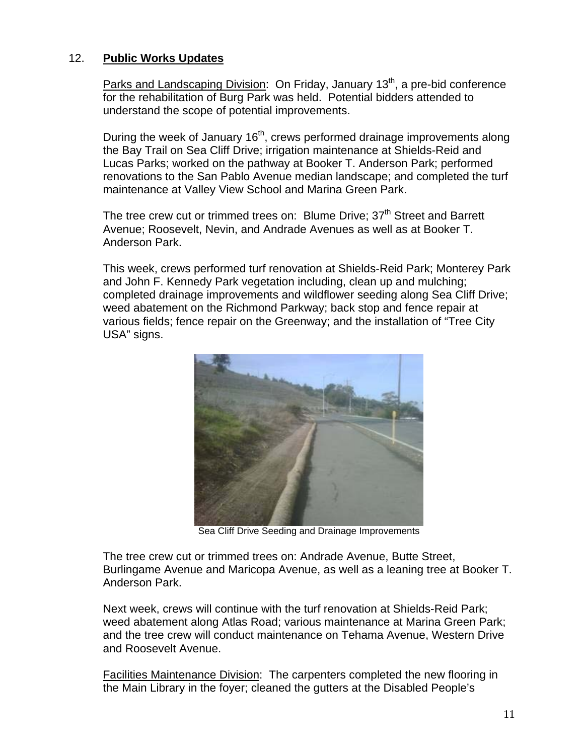## 12. **Public Works Updates**

Parks and Landscaping Division: On Friday, January 13<sup>th</sup>, a pre-bid conference for the rehabilitation of Burg Park was held. Potential bidders attended to understand the scope of potential improvements.

During the week of January 16<sup>th</sup>, crews performed drainage improvements along the Bay Trail on Sea Cliff Drive; irrigation maintenance at Shields-Reid and Lucas Parks; worked on the pathway at Booker T. Anderson Park; performed renovations to the San Pablo Avenue median landscape; and completed the turf maintenance at Valley View School and Marina Green Park.

The tree crew cut or trimmed trees on: Blume Drive; 37<sup>th</sup> Street and Barrett Avenue; Roosevelt, Nevin, and Andrade Avenues as well as at Booker T. Anderson Park.

This week, crews performed turf renovation at Shields-Reid Park; Monterey Park and John F. Kennedy Park vegetation including, clean up and mulching; completed drainage improvements and wildflower seeding along Sea Cliff Drive; weed abatement on the Richmond Parkway; back stop and fence repair at various fields; fence repair on the Greenway; and the installation of "Tree City USA" signs.



Sea Cliff Drive Seeding and Drainage Improvements

The tree crew cut or trimmed trees on: Andrade Avenue, Butte Street, Burlingame Avenue and Maricopa Avenue, as well as a leaning tree at Booker T. Anderson Park.

Next week, crews will continue with the turf renovation at Shields-Reid Park; weed abatement along Atlas Road; various maintenance at Marina Green Park; and the tree crew will conduct maintenance on Tehama Avenue, Western Drive and Roosevelt Avenue.

Facilities Maintenance Division: The carpenters completed the new flooring in the Main Library in the foyer; cleaned the gutters at the Disabled People's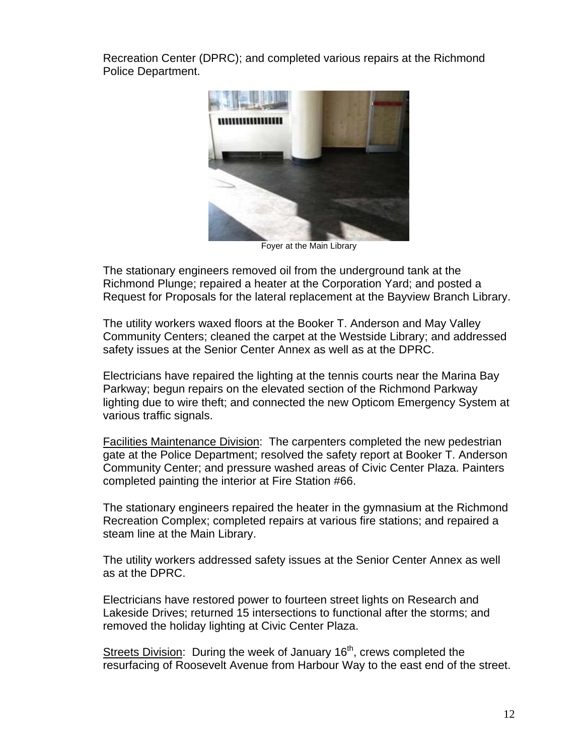Recreation Center (DPRC); and completed various repairs at the Richmond Police Department.



Foyer at the Main Library

The stationary engineers removed oil from the underground tank at the Richmond Plunge; repaired a heater at the Corporation Yard; and posted a Request for Proposals for the lateral replacement at the Bayview Branch Library.

The utility workers waxed floors at the Booker T. Anderson and May Valley Community Centers; cleaned the carpet at the Westside Library; and addressed safety issues at the Senior Center Annex as well as at the DPRC.

Electricians have repaired the lighting at the tennis courts near the Marina Bay Parkway; begun repairs on the elevated section of the Richmond Parkway lighting due to wire theft; and connected the new Opticom Emergency System at various traffic signals.

Facilities Maintenance Division: The carpenters completed the new pedestrian gate at the Police Department; resolved the safety report at Booker T. Anderson Community Center; and pressure washed areas of Civic Center Plaza. Painters completed painting the interior at Fire Station #66.

The stationary engineers repaired the heater in the gymnasium at the Richmond Recreation Complex; completed repairs at various fire stations; and repaired a steam line at the Main Library.

The utility workers addressed safety issues at the Senior Center Annex as well as at the DPRC.

Electricians have restored power to fourteen street lights on Research and Lakeside Drives; returned 15 intersections to functional after the storms; and removed the holiday lighting at Civic Center Plaza.

Streets Division: During the week of January  $16<sup>th</sup>$ , crews completed the resurfacing of Roosevelt Avenue from Harbour Way to the east end of the street.